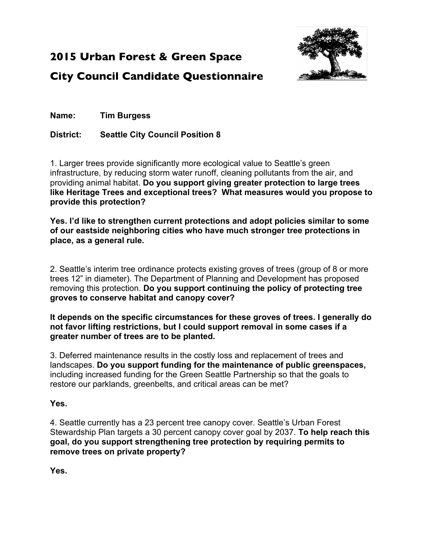

## **2015 Urban Forest & Green Space**

**City Council Candidate Questionnaire**

**Name: Tim Burgess**

**District: Seattle City Council Position 8**

1. Larger trees provide significantly more ecological value to Seattle's green infrastructure, by reducing storm water runoff, cleaning pollutants from the air, and providing animal habitat. **Do you support giving greater protection to large trees like Heritage Trees and exceptional trees? What measures would you propose to provide this protection?**

**Yes. I'd like to strengthen current protections and adopt policies similar to some of our eastside neighboring cities who have much stronger tree protections in place, as a general rule.**

2. Seattle's interim tree ordinance protects existing groves of trees (group of 8 or more trees 12" in diameter). The Department of Planning and Development has proposed removing this protection. **Do you support continuing the policy of protecting tree groves to conserve habitat and canopy cover?**

**It depends on the specific circumstances for these groves of trees. I generally do not favor lifting restrictions, but I could support removal in some cases if a greater number of trees are to be planted.**

3. Deferred maintenance results in the costly loss and replacement of trees and landscapes. **Do you support funding for the maintenance of public greenspaces,** including increased funding for the Green Seattle Partnership so that the goals to restore our parklands, greenbelts, and critical areas can be met?

### **Yes.**

4. Seattle currently has a 23 percent tree canopy cover. Seattle's Urban Forest Stewardship Plan targets a 30 percent canopy cover goal by 2037. **To help reach this goal, do you support strengthening tree protection by requiring permits to remove trees on private property?**

**Yes.**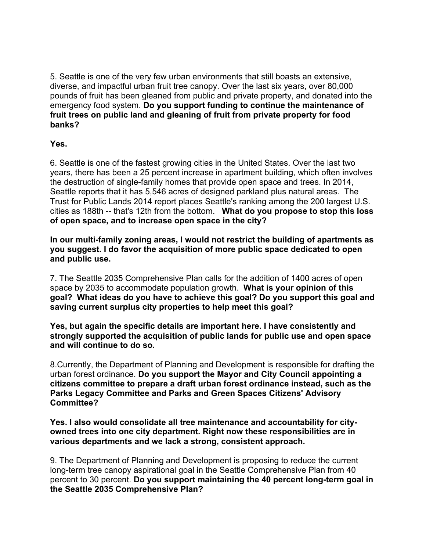5. Seattle is one of the very few urban environments that still boasts an extensive, diverse, and impactful urban fruit tree canopy. Over the last six years, over 80,000 pounds of fruit has been gleaned from public and private property, and donated into the emergency food system. **Do you support funding to continue the maintenance of fruit trees on public land and gleaning of fruit from private property for food banks?**

**Yes.**

6. Seattle is one of the fastest growing cities in the United States. Over the last two years, there has been a 25 percent increase in apartment building, which often involves the destruction of single-family homes that provide open space and trees. In 2014, Seattle reports that it has 5,546 acres of designed parkland plus natural areas. The Trust for Public Lands 2014 report places Seattle's ranking among the 200 largest U.S. cities as 188th -- that's 12th from the bottom. **What do you propose to stop this loss of open space, and to increase open space in the city?**

**In our multi-family zoning areas, I would not restrict the building of apartments as you suggest. I do favor the acquisition of more public space dedicated to open and public use.**

7. The Seattle 2035 Comprehensive Plan calls for the addition of 1400 acres of open space by 2035 to accommodate population growth. **What is your opinion of this goal? What ideas do you have to achieve this goal? Do you support this goal and saving current surplus city properties to help meet this goal?**

**Yes, but again the specific details are important here. I have consistently and strongly supported the acquisition of public lands for public use and open space and will continue to do so.**

8.Currently, the Department of Planning and Development is responsible for drafting the urban forest ordinance. **Do you support the Mayor and City Council appointing a citizens committee to prepare a draft urban forest ordinance instead, such as the Parks Legacy Committee and Parks and Green Spaces Citizens' Advisory Committee?**

**Yes. I also would consolidate all tree maintenance and accountability for cityowned trees into one city department. Right now these responsibilities are in various departments and we lack a strong, consistent approach.**

9. The Department of Planning and Development is proposing to reduce the current long-term tree canopy aspirational goal in the Seattle Comprehensive Plan from 40 percent to 30 percent. **Do you support maintaining the 40 percent long-term goal in the Seattle 2035 Comprehensive Plan?**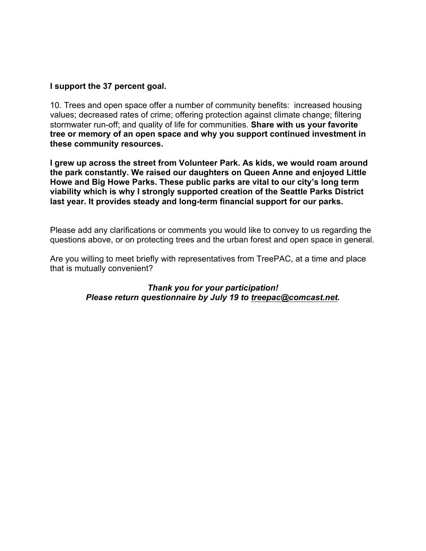#### **I support the 37 percent goal.**

10. Trees and open space offer a number of community benefits: increased housing values; decreased rates of crime; offering protection against climate change; filtering stormwater run-off; and quality of life for communities. **Share with us your favorite tree or memory of an open space and why you support continued investment in these community resources.**

**I grew up across the street from Volunteer Park. As kids, we would roam around the park constantly. We raised our daughters on Queen Anne and enjoyed Little Howe and Big Howe Parks. These public parks are vital to our city's long term viability which is why I strongly supported creation of the Seattle Parks District last year. It provides steady and long-term financial support for our parks.**

Please add any clarifications or comments you would like to convey to us regarding the questions above, or on protecting trees and the urban forest and open space in general.

Are you willing to meet briefly with representatives from TreePAC, at a time and place that is mutually convenient?

#### *Thank you for your participation! Please return questionnaire by July 19 to treepac@comcast.net.*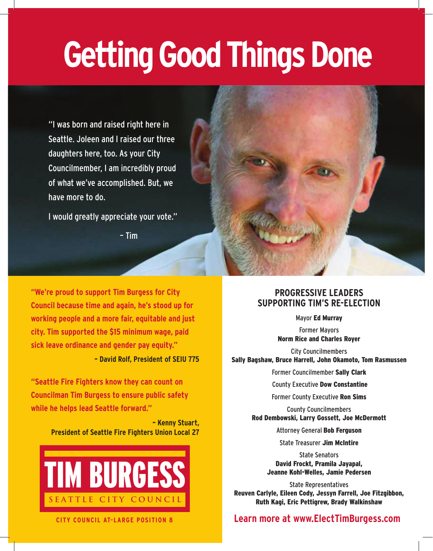# **Getting Good Things Done**

"I was born and raised right here in Seattle. Joleen and I raised our three daughters here, too. As your City Councilmember, I am incredibly proud of what we've accomplished. But, we have more to do.

I would greatly appreciate your vote."

– Tim

**"We're proud to support Tim Burgess for City Council because time and again, he's stood up for working people and a more fair, equitable and just city. Tim supported the \$15 minimum wage, paid sick leave ordinance and gender pay equity."**

**– David Rolf, President of SEIU 775**

**"Seattle Fire Fighters know they can count on Councilman Tim Burgess to ensure public safety while he helps lead Seattle forward."** 

> **– Kenny Stuart, President of Seattle Fire Fighters Union Local 27**







### **PROGRESSIVE LEADERS SUPPORTING TIM'S RE-ELECTION**

Mayor Ed Murray

Former Mayors Norm Rice and Charles Royer

City Councilmembers Sally Bagshaw, Bruce Harrell, John Okamoto, Tom Rasmussen

Former Councilmember Sally Clark

County Executive Dow Constantine

Former County Executive Ron Sims

County Councilmembers Rod Dembowski, Larry Gossett, Joe McDermott

Attorney General Bob Ferguson

State Treasurer Jim McIntire

State Senators David Frockt, Pramila Jayapal, Jeanne Kohl-Welles, Jamie Pedersen

State Representatives Reuven Carlyle, Eileen Cody, Jessyn Farrell, Joe Fitzgibbon, Ruth Kagi, Eric Pettigrew, Brady Walkinshaw

## **Learn more at www.ElectTimBurgess.com**